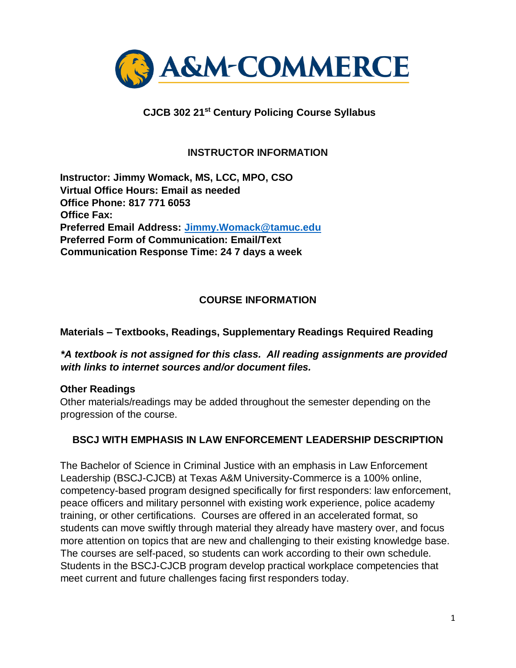

# **CJCB 302 21st Century Policing Course Syllabus**

### **INSTRUCTOR INFORMATION**

**Instructor: Jimmy Womack, MS, LCC, MPO, CSO Virtual Office Hours: Email as needed Office Phone: 817 771 6053 Office Fax: Preferred Email Address: Jimmy.Womack@tamuc.edu Preferred Form of Communication: Email/Text Communication Response Time: 24 7 days a week** 

#### **COURSE INFORMATION**

#### **Materials – Textbooks, Readings, Supplementary Readings Required Reading**

#### *\*A textbook is not assigned for this class. All reading assignments are provided with links to internet sources and/or document files.*

#### **Other Readings**

Other materials/readings may be added throughout the semester depending on the progression of the course.

#### **BSCJ WITH EMPHASIS IN LAW ENFORCEMENT LEADERSHIP DESCRIPTION**

The Bachelor of Science in Criminal Justice with an emphasis in Law Enforcement Leadership (BSCJ-CJCB) at Texas A&M University-Commerce is a 100% online, competency-based program designed specifically for first responders: law enforcement, peace officers and military personnel with existing work experience, police academy training, or other certifications. Courses are offered in an accelerated format, so students can move swiftly through material they already have mastery over, and focus more attention on topics that are new and challenging to their existing knowledge base. The courses are self-paced, so students can work according to their own schedule. Students in the BSCJ-CJCB program develop practical workplace competencies that meet current and future challenges facing first responders today.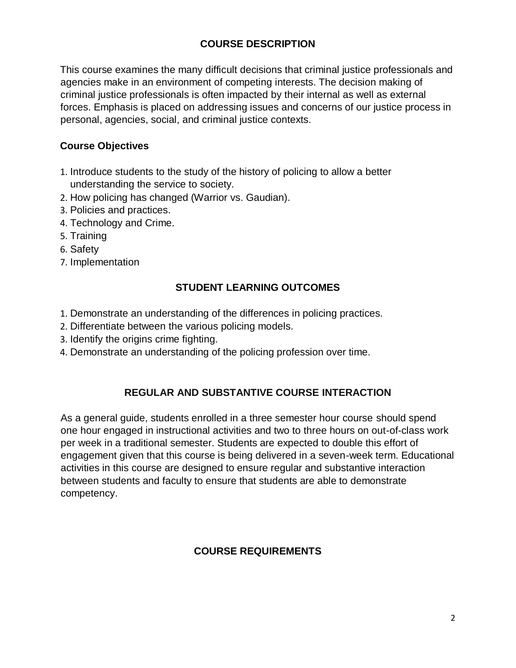# **[COURSE DESCRIPTION](http://catalog.tamuc.edu/undergrad/colleges-and-departments/college-of-innovation-design/baas-organizational-leadership/?_ga=2.81546143.928332977.1616426723-584154711.1595512675)**

This course examines the many difficult decisions that criminal justice professionals and agencies make in an environment of competing interests. The decision making of criminal justice professionals is often impacted by their internal as well as external forces. Emphasis is placed on addressing issues and concerns of our justice process in personal, agencies, social, and criminal justice contexts.

# **Course Objectives**

- 1. Introduce students to the study of the history of policing to allow a better understanding the service to society.
- 2. How policing has changed (Warrior vs. Gaudian).
- 3. Policies and practices.
- 4. Technology and Crime.
- 5. Training
- 6. Safety
- 7. Implementation

# **STUDENT LEARNING OUTCOMES**

- 1. Demonstrate an understanding of the differences in policing practices.
- 2. Differentiate between the various policing models.
- 3. Identify the origins crime fighting.
- 4. Demonstrate an understanding of the policing profession over time.

# **REGULAR AND SUBSTANTIVE COURSE INTERACTION**

As a general guide, students enrolled in a three semester hour course should spend one hour engaged in instructional activities and two to three hours on out-of-class work per week in a traditional semester. Students are expected to double this effort of engagement given that this course is being delivered in a seven-week term. Educational activities in this course are designed to ensure regular and substantive interaction between students and faculty to ensure that students are able to demonstrate competency.

# **COURSE REQUIREMENTS**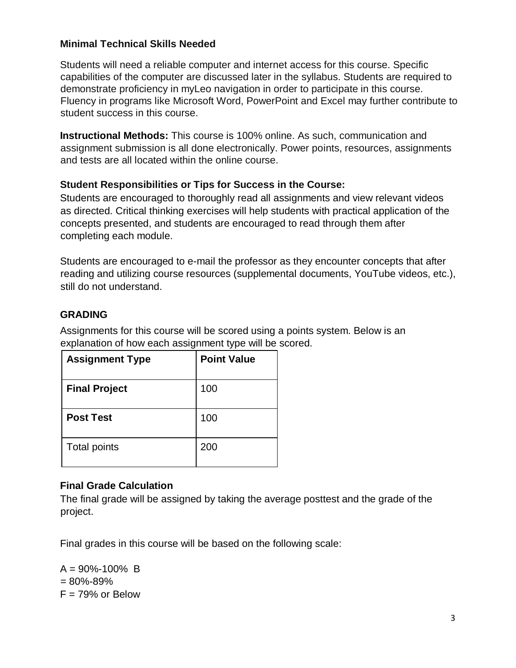# **Minimal Technical Skills Needed**

Students will need a reliable computer and internet access for this course. Specific capabilities of the computer are discussed later in the syllabus. Students are required to demonstrate proficiency in myLeo navigation in order to participate in this course. Fluency in programs like Microsoft Word, PowerPoint and Excel may further contribute to student success in this course.

**Instructional Methods:** This course is 100% online. As such, communication and assignment submission is all done electronically. Power points, resources, assignments and tests are all located within the online course.

#### **Student Responsibilities or Tips for Success in the Course:**

Students are encouraged to thoroughly read all assignments and view relevant videos as directed. Critical thinking exercises will help students with practical application of the concepts presented, and students are encouraged to read through them after completing each module.

Students are encouraged to e-mail the professor as they encounter concepts that after reading and utilizing course resources (supplemental documents, YouTube videos, etc.), still do not understand.

# **GRADING**

Assignments for this course will be scored using a points system. Below is an explanation of how each assignment type will be scored.

| <b>Assignment Type</b> | <b>Point Value</b> |
|------------------------|--------------------|
| <b>Final Project</b>   | 100                |
| <b>Post Test</b>       | 100                |
| Total points           | 200                |

# **Final Grade Calculation**

The final grade will be assigned by taking the average posttest and the grade of the project.

Final grades in this course will be based on the following scale:

 $A = 90\% - 100\%$  B  $= 80\% - 89\%$  $F = 79%$  or Below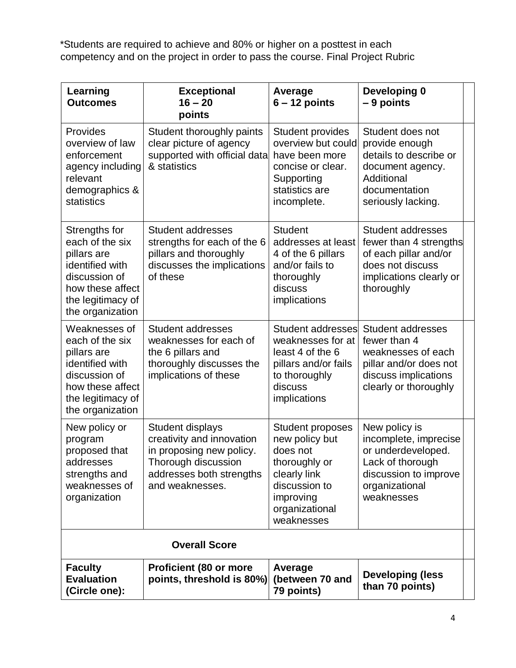\*Students are required to achieve and 80% or higher on a posttest in each competency and on the project in order to pass the course. Final Project Rubric

| Learning<br><b>Outcomes</b>                                                                                                                      | <b>Exceptional</b><br>$16 - 20$<br>points                                                                                                       | Average<br>$6 - 12$ points                                                                                                                           | Developing 0<br>$-9$ points                                                                                                               |  |
|--------------------------------------------------------------------------------------------------------------------------------------------------|-------------------------------------------------------------------------------------------------------------------------------------------------|------------------------------------------------------------------------------------------------------------------------------------------------------|-------------------------------------------------------------------------------------------------------------------------------------------|--|
| Provides<br>overview of law<br>enforcement<br>agency including<br>relevant<br>demographics &<br>statistics                                       | Student thoroughly paints<br>clear picture of agency<br>supported with official data<br>& statistics                                            | <b>Student provides</b><br>overview but could<br>have been more<br>concise or clear.<br>Supporting<br>statistics are<br>incomplete.                  | Student does not<br>provide enough<br>details to describe or<br>document agency.<br>Additional<br>documentation<br>seriously lacking.     |  |
| Strengths for<br>each of the six<br>pillars are<br>identified with<br>discussion of<br>how these affect<br>the legitimacy of<br>the organization | <b>Student addresses</b><br>strengths for each of the 6<br>pillars and thoroughly<br>discusses the implications<br>of these                     | <b>Student</b><br>addresses at least<br>4 of the 6 pillars<br>and/or fails to<br>thoroughly<br>discuss<br>implications                               | <b>Student addresses</b><br>fewer than 4 strengths<br>of each pillar and/or<br>does not discuss<br>implications clearly or<br>thoroughly  |  |
| Weaknesses of<br>each of the six<br>pillars are<br>identified with<br>discussion of<br>how these affect<br>the legitimacy of<br>the organization | <b>Student addresses</b><br>weaknesses for each of<br>the 6 pillars and<br>thoroughly discusses the<br>implications of these                    | <b>Student addresses</b><br>weaknesses for at<br>least 4 of the 6<br>pillars and/or fails<br>to thoroughly<br>discuss<br>implications                | <b>Student addresses</b><br>fewer than 4<br>weaknesses of each<br>pillar and/or does not<br>discuss implications<br>clearly or thoroughly |  |
| New policy or<br>program<br>proposed that<br>addresses<br>strengths and<br>weaknesses of<br>organization                                         | Student displays<br>creativity and innovation<br>in proposing new policy.<br>Thorough discussion<br>addresses both strengths<br>and weaknesses. | <b>Student proposes</b><br>new policy but<br>does not<br>thoroughly or<br>clearly link<br>discussion to<br>improving<br>organizational<br>weaknesses | New policy is<br>incomplete, imprecise<br>or underdeveloped.<br>Lack of thorough<br>discussion to improve<br>organizational<br>weaknesses |  |
|                                                                                                                                                  | <b>Overall Score</b>                                                                                                                            |                                                                                                                                                      |                                                                                                                                           |  |
| <b>Faculty</b><br><b>Evaluation</b><br>(Circle one):                                                                                             | <b>Proficient (80 or more</b><br>points, threshold is 80%)                                                                                      | Average<br>(between 70 and<br>79 points)                                                                                                             | <b>Developing (less</b><br>than 70 points)                                                                                                |  |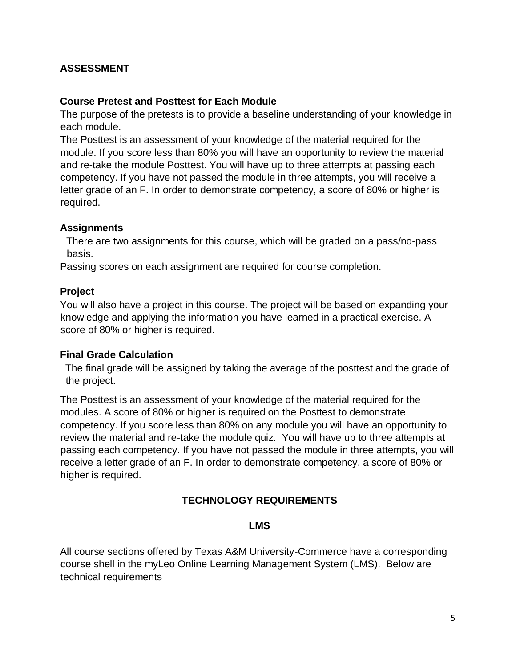# **ASSESSMENT**

#### **Course Pretest and Posttest for Each Module**

The purpose of the pretests is to provide a baseline understanding of your knowledge in each module.

The Posttest is an assessment of your knowledge of the material required for the module. If you score less than 80% you will have an opportunity to review the material and re-take the module Posttest. You will have up to three attempts at passing each competency. If you have not passed the module in three attempts, you will receive a letter grade of an F. In order to demonstrate competency, a score of 80% or higher is required.

#### **Assignments**

There are two assignments for this course, which will be graded on a pass/no-pass basis.

Passing scores on each assignment are required for course completion.

#### **Project**

You will also have a project in this course. The project will be based on expanding your knowledge and applying the information you have learned in a practical exercise. A score of 80% or higher is required.

#### **Final Grade Calculation**

The final grade will be assigned by taking the average of the posttest and the grade of the project.

The Posttest is an assessment of your knowledge of the material required for the modules. A score of 80% or higher is required on the Posttest to demonstrate competency. If you score less than 80% on any module you will have an opportunity to review the material and re-take the module quiz. You will have up to three attempts at passing each competency. If you have not passed the module in three attempts, you will receive a letter grade of an F. In order to demonstrate competency, a score of 80% or higher is required.

# **TECHNOLOGY REQUIREMENTS**

#### **LMS**

All course sections offered by Texas A&M University-Commerce have a corresponding course shell in the myLeo Online Learning Management System (LMS). Below are technical requirements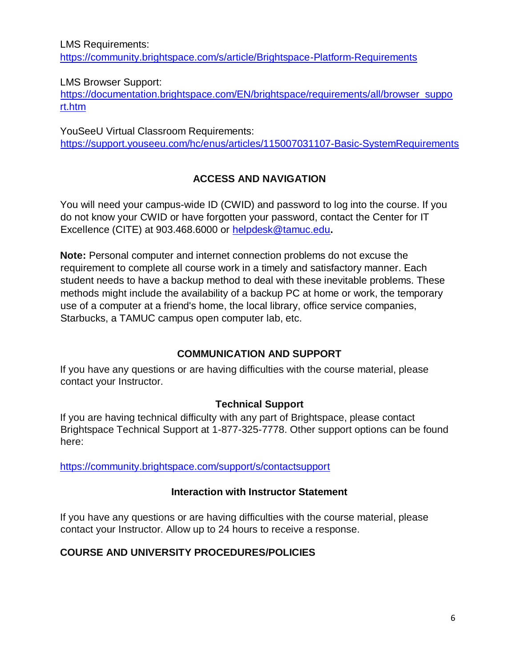LMS Requirements: <https://community.brightspace.com/s/article/Brightspace-Platform-Requirements>

### LMS Browser Support:

[https://documentation.brightspace.com/EN/brightspace/requirements/all/browser\\_suppo](https://documentation.brightspace.com/EN/brightspace/requirements/all/browser_support.htm) [rt.htm](https://documentation.brightspace.com/EN/brightspace/requirements/all/browser_support.htm) 

YouSeeU Virtual Classroom Requirements: [https://support.youseeu.com/hc/enus/articles/115007031107-Basic-SystemRequirements](https://support.youseeu.com/hc/en-us/articles/115007031107-Basic-System-Requirements) 

# **ACCESS AND NAVIGATION**

You will need your campus-wide ID (CWID) and password to log into the course. If you do not know your CWID or have forgotten your password, contact the Center for IT Excellence (CITE) at 903.468.6000 or helpdesk@tamuc.edu**.**

**Note:** Personal computer and internet connection problems do not excuse the requirement to complete all course work in a timely and satisfactory manner. Each student needs to have a backup method to deal with these inevitable problems. These methods might include the availability of a backup PC at home or work, the temporary use of a computer at a friend's home, the local library, office service companies, Starbucks, a TAMUC campus open computer lab, etc.

# **COMMUNICATION AND SUPPORT**

If you have any questions or are having difficulties with the course material, please contact your Instructor.

# **Technical Support**

If you are having technical difficulty with any part of Brightspace, please contact Brightspace Technical Support at 1-877-325-7778. Other support options can be found here:

<https://community.brightspace.com/support/s/contactsupport>

#### **Interaction with Instructor Statement**

If you have any questions or are having difficulties with the course material, please contact your Instructor. Allow up to 24 hours to receive a response.

# **COURSE AND UNIVERSITY PROCEDURES/POLICIES**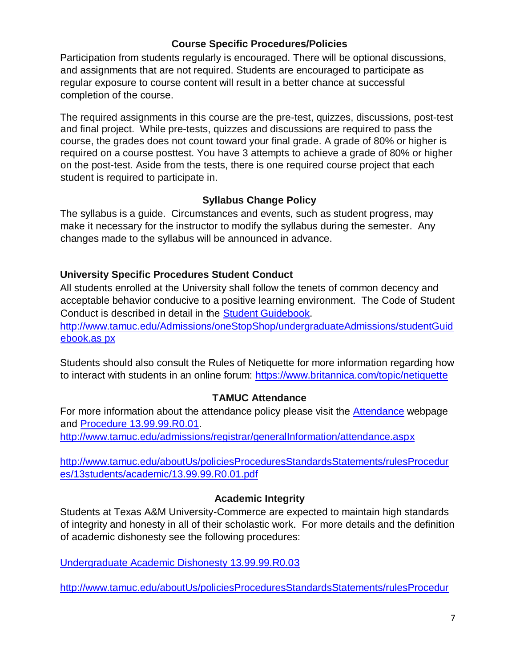# **Course Specific Procedures/Policies**

Participation from students regularly is encouraged. There will be optional discussions, and assignments that are not required. Students are encouraged to participate as regular exposure to course content will result in a better chance at successful completion of the course.

The required assignments in this course are the pre-test, quizzes, discussions, post-test and final project. While pre-tests, quizzes and discussions are required to pass the course, the grades does not count toward your final grade. A grade of 80% or higher is required on a course posttest. You have 3 attempts to achieve a grade of 80% or higher on the post-test. Aside from the tests, there is one required course project that each student is required to participate in.

# **Syllabus Change Policy**

The syllabus is a guide. Circumstances and events, such as student progress, may make it necessary for the instructor to modify the syllabus during the semester. Any changes made to the syllabus will be announced in advance.

# **University Specific Procedures Student Conduct**

All students enrolled at the University shall follow the tenets of common decency and acceptable behavior conducive to a positive learning environment. The Code of Student Conduct is described in detail in the [Student Guidebook.](http://www.tamuc.edu/Admissions/oneStopShop/undergraduateAdmissions/studentGuidebook.aspx)

[http://www.tamuc.edu/Admissions/oneStopShop/undergraduateAdmissions/studentGuid](http://www.tamuc.edu/Admissions/oneStopShop/undergraduateAdmissions/studentGuidebook.aspx)  [ebook.as](http://www.tamuc.edu/Admissions/oneStopShop/undergraduateAdmissions/studentGuidebook.aspx) [px](http://www.tamuc.edu/Admissions/oneStopShop/undergraduateAdmissions/studentGuidebook.aspx) 

Students should also consult the Rules of Netiquette for more information regarding how to interact with students in an online forum:<https://www.britannica.com/topic/netiquette>

# **TAMUC Attendance**

For more information about the attendance policy please visit the **Attendance** [we](http://www.tamuc.edu/admissions/registrar/generalInformation/attendance.aspx)bpage and [Procedure 13.99.99.R0.01.](http://www.tamuc.edu/aboutUs/policiesProceduresStandardsStatements/rulesProcedures/13students/academic/13.99.99.R0.01.pdf)

<http://www.tamuc.edu/admissions/registrar/generalInformation/attendance.aspx>

[http://www.tamuc.edu/aboutUs/policiesProceduresStandardsStatements/rulesProcedur](http://www.tamuc.edu/aboutUs/policiesProceduresStandardsStatements/rulesProcedures/13students/academic/13.99.99.R0.01.pdf) [es/13students/academic/13.99.99.R0.01.pdf](http://www.tamuc.edu/aboutUs/policiesProceduresStandardsStatements/rulesProcedures/13students/academic/13.99.99.R0.01.pdf) 

# **Academic Integrity**

Students at Texas A&M University-Commerce are expected to maintain high standards of integrity and honesty in all of their scholastic work. For more details and the definition of academic dishonesty see the following procedures:

[Undergraduate Academic Dishonesty 13.99.99.R0.03](http://www.tamuc.edu/aboutUs/policiesProceduresStandardsStatements/rulesProcedures/13students/undergraduates/13.99.99.R0.03UndergraduateAcademicDishonesty.pdf) 

[http://www.tamuc.edu/aboutUs/policiesProceduresStandardsStatements/rulesProcedur](http://www.tamuc.edu/aboutUs/policiesProceduresStandardsStatements/rulesProcedures/13students/undergraduates/13.99.99.R0.03UndergraduateAcademicDishonesty.pdf)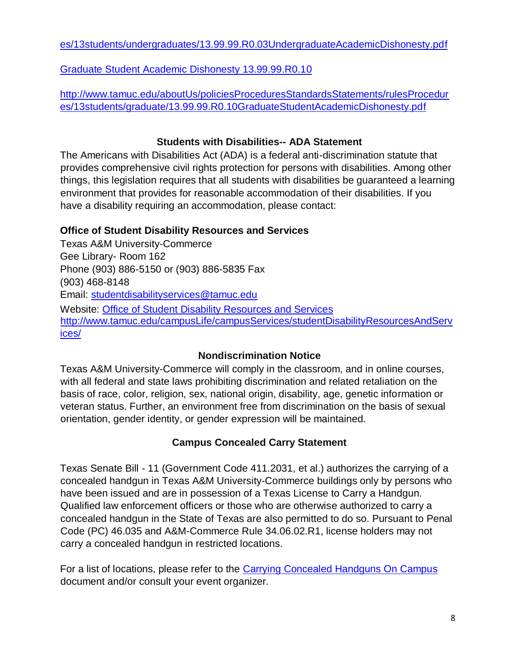[es/13students/undergraduates/13.99.99.R0.03UndergraduateAcademicDishonesty.pdf](http://www.tamuc.edu/aboutUs/policiesProceduresStandardsStatements/rulesProcedures/13students/undergraduates/13.99.99.R0.03UndergraduateAcademicDishonesty.pdf) 

[Graduate Student Academic Dishonesty 13.99.99.R0.10](http://www.tamuc.edu/aboutUs/policiesProceduresStandardsStatements/rulesProcedures/13students/graduate/13.99.99.R0.10GraduateStudentAcademicDishonesty.pdf) 

[http://www.tamuc.edu/aboutUs/policiesProceduresStandardsStatements/rulesProcedur](http://www.tamuc.edu/aboutUs/policiesProceduresStandardsStatements/rulesProcedures/13students/graduate/13.99.99.R0.10GraduateStudentAcademicDishonesty.pdf) [es/13students/graduate/13.99.99.R0.10GraduateStudentAcademicDishonesty.pdf](http://www.tamuc.edu/aboutUs/policiesProceduresStandardsStatements/rulesProcedures/13students/graduate/13.99.99.R0.10GraduateStudentAcademicDishonesty.pdf) 

# **Students with Disabilities-- ADA Statement**

The Americans with Disabilities Act (ADA) is a federal anti-discrimination statute that provides comprehensive civil rights protection for persons with disabilities. Among other things, this legislation requires that all students with disabilities be guaranteed a learning environment that provides for reasonable accommodation of their disabilities. If you have a disability requiring an accommodation, please contact:

# **Office of Student Disability Resources and Services**

Texas A&M University-Commerce Gee Library- Room 162 Phone (903) 886-5150 or (903) 886-5835 Fax (903) 468-8148 Email: studentdisabilityservices@tamuc.edu Website: [Office of Student Disability Resources and Services](http://www.tamuc.edu/campusLife/campusServices/studentDisabilityResourcesAndServices/) [http://www.tamuc.edu/campusLife/campusServices/studentDisabilityResourcesAndServ](http://www.tamuc.edu/campusLife/campusServices/studentDisabilityResourcesAndServices/) [ices/](http://www.tamuc.edu/campusLife/campusServices/studentDisabilityResourcesAndServices/) 

# **Nondiscrimination Notice**

Texas A&M University-Commerce will comply in the classroom, and in online courses, with all federal and state laws prohibiting discrimination and related retaliation on the basis of race, color, religion, sex, national origin, disability, age, genetic information or veteran status. Further, an environment free from discrimination on the basis of sexual orientation, gender identity, or gender expression will be maintained.

# **Campus Concealed Carry Statement**

Texas Senate Bill - 11 (Government Code 411.2031, et al.) authorizes the carrying of a concealed handgun in Texas A&M University-Commerce buildings only by persons who have been issued and are in possession of a Texas License to Carry a Handgun. Qualified law enforcement officers or those who are otherwise authorized to carry a concealed handgun in the State of Texas are also permitted to do so. Pursuant to Penal Code (PC) 46.035 and A&M-Commerce Rule 34.06.02.R1, license holders may not carry a concealed handgun in restricted locations.

For a list of locations, please refer to the Carrying Concealed Handguns On Campus document and/or consult your event organizer.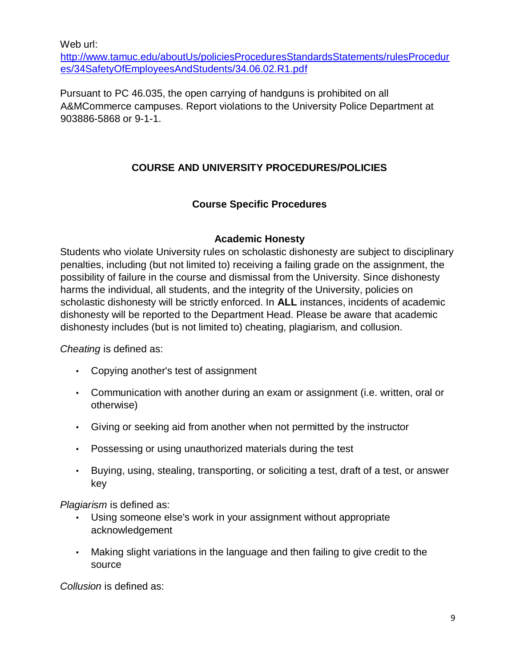Web url:

[http://www.tamuc.edu/aboutUs/policiesProceduresStandardsStatements/rulesProcedur](http://www.tamuc.edu/aboutUs/policiesProceduresStandardsStatements/rulesProcedures/34SafetyOfEmployeesAndStudents/34.06.02.R1.pdf) [es/34SafetyOfEmployeesAndStudents/34.06.02.R1.pdf](http://www.tamuc.edu/aboutUs/policiesProceduresStandardsStatements/rulesProcedures/34SafetyOfEmployeesAndStudents/34.06.02.R1.pdf) 

Pursuant to PC 46.035, the open carrying of handguns is prohibited on all A&MCommerce campuses. Report violations to the University Police Department at 903886-5868 or 9-1-1.

# **COURSE AND UNIVERSITY PROCEDURES/POLICIES**

# **Course Specific Procedures**

#### **Academic Honesty**

Students who violate University rules on scholastic dishonesty are subject to disciplinary penalties, including (but not limited to) receiving a failing grade on the assignment, the possibility of failure in the course and dismissal from the University. Since dishonesty harms the individual, all students, and the integrity of the University, policies on scholastic dishonesty will be strictly enforced. In **ALL** instances, incidents of academic dishonesty will be reported to the Department Head. Please be aware that academic dishonesty includes (but is not limited to) cheating, plagiarism, and collusion.

*Cheating* is defined as:

- Copying another's test of assignment
- Communication with another during an exam or assignment (i.e. written, oral or otherwise)
- Giving or seeking aid from another when not permitted by the instructor
- Possessing or using unauthorized materials during the test
- Buying, using, stealing, transporting, or soliciting a test, draft of a test, or answer key

*Plagiarism* is defined as:

- Using someone else's work in your assignment without appropriate acknowledgement
- Making slight variations in the language and then failing to give credit to the source

*Collusion* is defined as: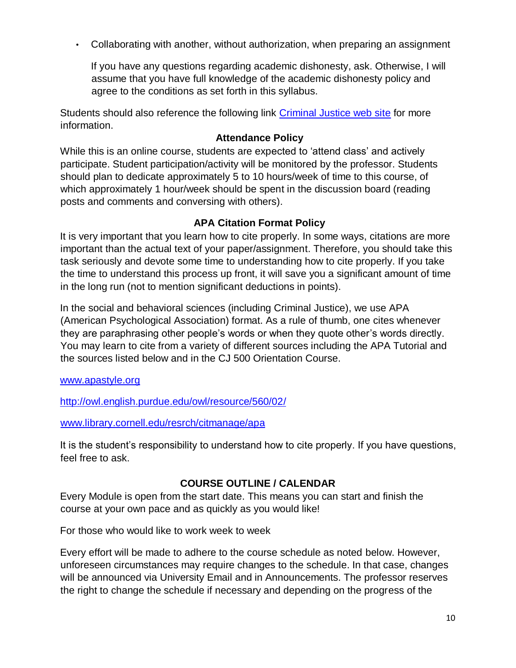• Collaborating with another, without authorization, when preparing an assignment

If you have any questions regarding academic dishonesty, ask. Otherwise, I will assume that you have full knowledge of the academic dishonesty policy and agree to the conditions as set forth in this syllabus.

Students should also reference the following link [Criminal Justice web site](https://www.tamuc.edu/academics/colleges/humanitiesSocialSciencesArts/departments/sociologyCriminalJustice/undergraduatePrograms/criminalJustice.aspx) [fo](https://www.tamuc.edu/academics/colleges/humanitiesSocialSciencesArts/departments/sociologyCriminalJustice/undergraduatePrograms/criminalJustice.aspx)r more information.

# **Attendance Policy**

While this is an online course, students are expected to 'attend class' and actively participate. Student participation/activity will be monitored by the professor. Students should plan to dedicate approximately 5 to 10 hours/week of time to this course, of which approximately 1 hour/week should be spent in the discussion board (reading posts and comments and conversing with others).

# **APA Citation Format Policy**

It is very important that you learn how to cite properly. In some ways, citations are more important than the actual text of your paper/assignment. Therefore, you should take this task seriously and devote some time to understanding how to cite properly. If you take the time to understand this process up front, it will save you a significant amount of time in the long run (not to mention significant deductions in points).

In the social and behavioral sciences (including Criminal Justice), we use APA (American Psychological Association) format. As a rule of thumb, one cites whenever they are paraphrasing other people's words or when they quote other's words directly. You may learn to cite from a variety of different sources including the APA Tutorial and the sources listed below and in the CJ 500 Orientation Course.

#### [www.apastyle.org](http://www.apastyle.org/)

<http://owl.english.purdue.edu/owl/resource/560/02/>

[www.library.cornell.edu/resrch/citmanage/apa](http://www.library.cornell.edu/resrch/citmanage/apa) 

It is the student's responsibility to understand how to cite properly. If you have questions, feel free to ask.

# **COURSE OUTLINE / CALENDAR**

Every Module is open from the start date. This means you can start and finish the course at your own pace and as quickly as you would like!

For those who would like to work week to week

Every effort will be made to adhere to the course schedule as noted below. However, unforeseen circumstances may require changes to the schedule. In that case, changes will be announced via University Email and in Announcements. The professor reserves the right to change the schedule if necessary and depending on the progress of the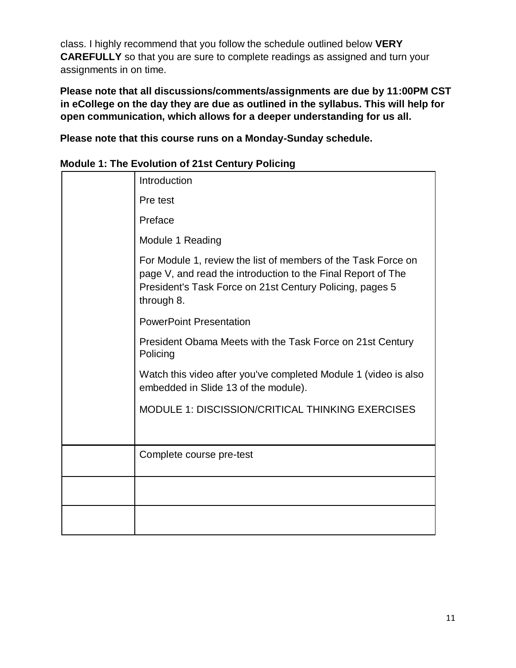class. I highly recommend that you follow the schedule outlined below **VERY CAREFULLY** so that you are sure to complete readings as assigned and turn your assignments in on time.

**Please note that all discussions/comments/assignments are due by 11:00PM CST in eCollege on the day they are due as outlined in the syllabus. This will help for open communication, which allows for a deeper understanding for us all.**

**Please note that this course runs on a Monday-Sunday schedule.**

| <b>Module 1: The Evolution of 21st Century Policing</b> |  |
|---------------------------------------------------------|--|
|---------------------------------------------------------|--|

| Introduction                                                                                                                                                                                            |
|---------------------------------------------------------------------------------------------------------------------------------------------------------------------------------------------------------|
| Pre test                                                                                                                                                                                                |
| Preface                                                                                                                                                                                                 |
| Module 1 Reading                                                                                                                                                                                        |
| For Module 1, review the list of members of the Task Force on<br>page V, and read the introduction to the Final Report of The<br>President's Task Force on 21st Century Policing, pages 5<br>through 8. |
| <b>PowerPoint Presentation</b>                                                                                                                                                                          |
| President Obama Meets with the Task Force on 21st Century<br>Policing                                                                                                                                   |
| Watch this video after you've completed Module 1 (video is also<br>embedded in Slide 13 of the module).                                                                                                 |
| MODULE 1: DISCISSION/CRITICAL THINKING EXERCISES                                                                                                                                                        |
|                                                                                                                                                                                                         |
| Complete course pre-test                                                                                                                                                                                |
|                                                                                                                                                                                                         |
|                                                                                                                                                                                                         |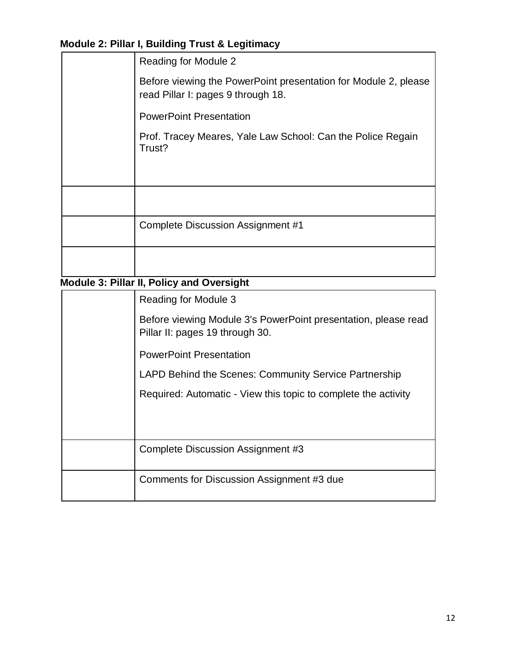# **Module 2: Pillar I, Building Trust & Legitimacy**

| <b>Reading for Module 2</b>                                                                           |
|-------------------------------------------------------------------------------------------------------|
| Before viewing the PowerPoint presentation for Module 2, please<br>read Pillar I: pages 9 through 18. |
| <b>PowerPoint Presentation</b>                                                                        |
| Prof. Tracey Meares, Yale Law School: Can the Police Regain<br>Trust?                                 |
|                                                                                                       |
|                                                                                                       |
| <b>Complete Discussion Assignment #1</b>                                                              |
|                                                                                                       |
| Module 3: Pillar II, Policy and Oversight                                                             |
| <b>Reading for Module 3</b>                                                                           |
| Before viewing Module 3's PowerPoint presentation, please read<br>Pillar II: pages 19 through 30.     |
| <b>PowerPoint Presentation</b>                                                                        |
| LAPD Behind the Scenes: Community Service Partnership                                                 |
| Required: Automatic - View this topic to complete the activity                                        |
|                                                                                                       |
| Complete Discussion Assignment #3                                                                     |

Comments for Discussion Assignment #3 due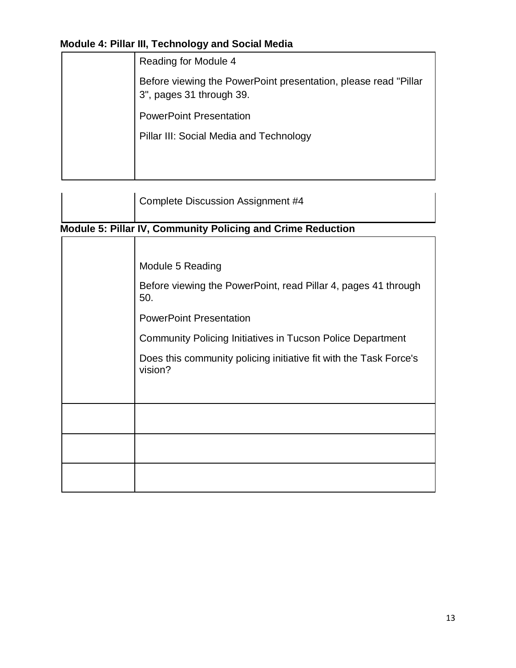# **Module 4: Pillar III, Technology and Social Media**

| Reading for Module 4                                                                        |
|---------------------------------------------------------------------------------------------|
| Before viewing the PowerPoint presentation, please read "Pillar<br>3", pages 31 through 39. |
| <b>PowerPoint Presentation</b>                                                              |
| Pillar III: Social Media and Technology                                                     |
|                                                                                             |
|                                                                                             |

| Complete Discussion Assignment #4 |
|-----------------------------------|
|                                   |

# **Module 5: Pillar IV, Community Policing and Crime Reduction**

| Module 5 Reading                                                             |
|------------------------------------------------------------------------------|
| Before viewing the PowerPoint, read Pillar 4, pages 41 through<br>50.        |
| <b>PowerPoint Presentation</b>                                               |
| <b>Community Policing Initiatives in Tucson Police Department</b>            |
| Does this community policing initiative fit with the Task Force's<br>vision? |
|                                                                              |
|                                                                              |
|                                                                              |
|                                                                              |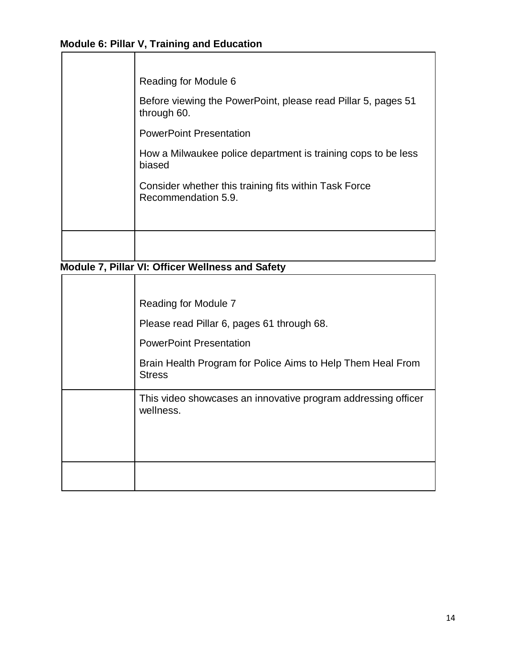# **Module 6: Pillar V, Training and Education**

| Reading for Module 6                                                         |
|------------------------------------------------------------------------------|
| Before viewing the PowerPoint, please read Pillar 5, pages 51<br>through 60. |
| <b>PowerPoint Presentation</b>                                               |
| How a Milwaukee police department is training cops to be less<br>biased      |
| Consider whether this training fits within Task Force<br>Recommendation 5.9. |
|                                                                              |
|                                                                              |

**Module 7, Pillar VI: Officer Wellness and Safety**

| Reading for Module 7                                                         |
|------------------------------------------------------------------------------|
| Please read Pillar 6, pages 61 through 68.                                   |
| <b>PowerPoint Presentation</b>                                               |
| Brain Health Program for Police Aims to Help Them Heal From<br><b>Stress</b> |
| This video showcases an innovative program addressing officer<br>wellness.   |
|                                                                              |